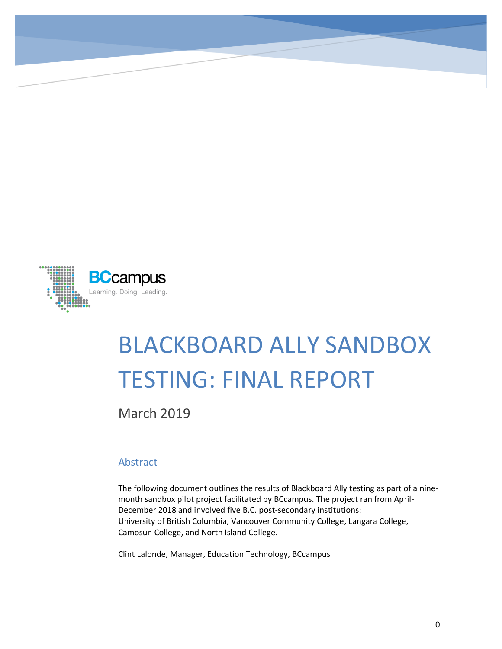

# BLACKBOARD ALLY SANDBOX TESTING: FINAL REPORT

March 2019

#### Abstract

The following document outlines the results of Blackboard Ally testing as part of a ninemonth sandbox pilot project facilitated by BCcampus. The project ran from April-December 2018 and involved five B.C. post-secondary institutions: University of British Columbia, Vancouver Community College, Langara College, Camosun College, and North Island College.

Clint Lalonde, Manager, Education Technology, BCcampus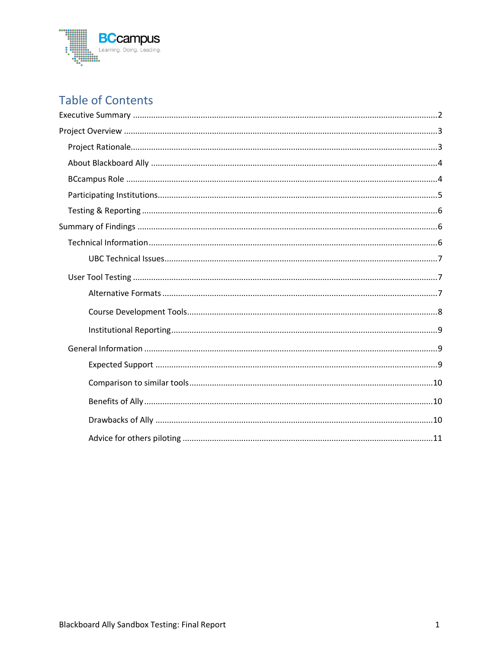

## **Table of Contents**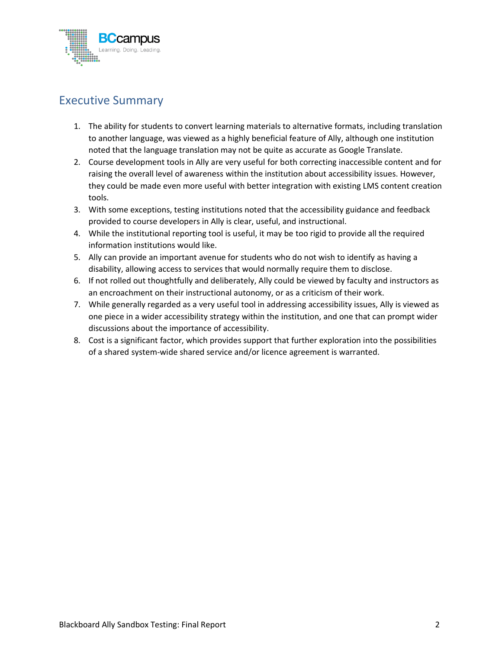

## <span id="page-2-0"></span>Executive Summary

- 1. The ability for students to convert learning materials to alternative formats, including translation to another language, was viewed as a highly beneficial feature of Ally, although one institution noted that the language translation may not be quite as accurate as Google Translate.
- 2. Course development tools in Ally are very useful for both correcting inaccessible content and for raising the overall level of awareness within the institution about accessibility issues. However, they could be made even more useful with better integration with existing LMS content creation tools.
- 3. With some exceptions, testing institutions noted that the accessibility guidance and feedback provided to course developers in Ally is clear, useful, and instructional.
- 4. While the institutional reporting tool is useful, it may be too rigid to provide all the required information institutions would like.
- 5. Ally can provide an important avenue for students who do not wish to identify as having a disability, allowing access to services that would normally require them to disclose.
- 6. If not rolled out thoughtfully and deliberately, Ally could be viewed by faculty and instructors as an encroachment on their instructional autonomy, or as a criticism of their work.
- 7. While generally regarded as a very useful tool in addressing accessibility issues, Ally is viewed as one piece in a wider accessibility strategy within the institution, and one that can prompt wider discussions about the importance of accessibility.
- 8. Cost is a significant factor, which provides support that further exploration into the possibilities of a shared system-wide shared service and/or licence agreement is warranted.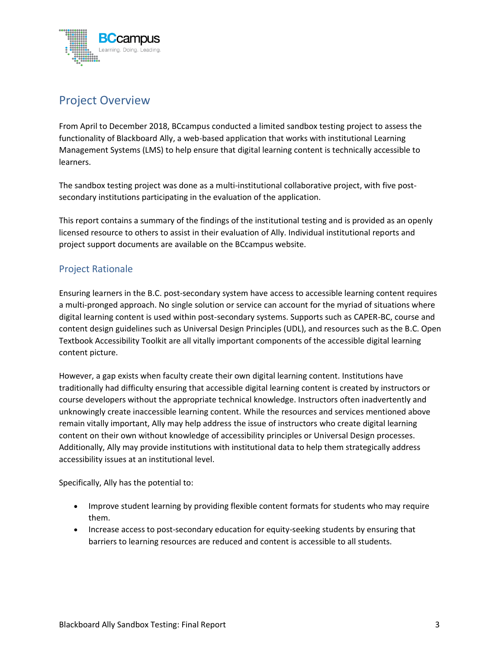

## <span id="page-3-0"></span>Project Overview

From April to December 2018, BCcampus conducted a limited sandbox testing project to assess the functionality of Blackboard Ally, a web-based application that works with institutional Learning Management Systems (LMS) to help ensure that digital learning content is technically accessible to learners.

The sandbox testing project was done as a multi-institutional collaborative project, with five postsecondary institutions participating in the evaluation of the application.

This report contains a summary of the findings of the institutional testing and is provided as an openly licensed resource to others to assist in their evaluation of Ally. Individual institutional reports and project support documents are available on the BCcampus website.

#### <span id="page-3-1"></span>Project Rationale

Ensuring learners in the B.C. post-secondary system have access to accessible learning content requires a multi-pronged approach. No single solution or service can account for the myriad of situations where digital learning content is used within post-secondary systems. Supports such as CAPER-BC, course and content design guidelines such as Universal Design Principles (UDL), and resources such as the B.C. Open Textbook Accessibility Toolkit are all vitally important components of the accessible digital learning content picture.

However, a gap exists when faculty create their own digital learning content. Institutions have traditionally had difficulty ensuring that accessible digital learning content is created by instructors or course developers without the appropriate technical knowledge. Instructors often inadvertently and unknowingly create inaccessible learning content. While the resources and services mentioned above remain vitally important, Ally may help address the issue of instructors who create digital learning content on their own without knowledge of accessibility principles or Universal Design processes. Additionally, Ally may provide institutions with institutional data to help them strategically address accessibility issues at an institutional level.

Specifically, Ally has the potential to:

- Improve student learning by providing flexible content formats for students who may require them.
- Increase access to post-secondary education for equity-seeking students by ensuring that barriers to learning resources are reduced and content is accessible to all students.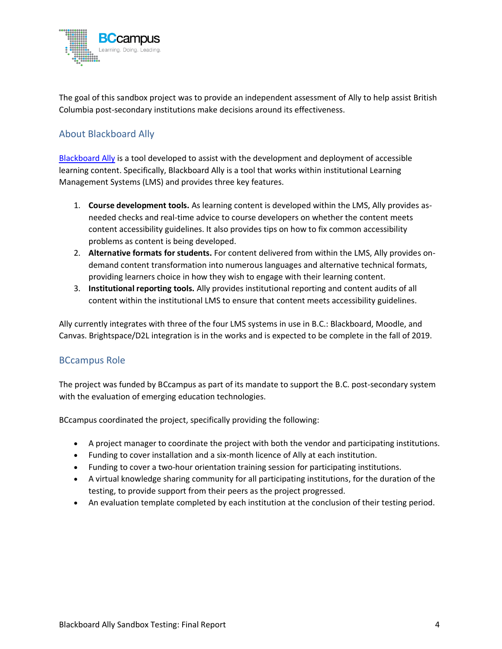

The goal of this sandbox project was to provide an independent assessment of Ally to help assist British Columbia post-secondary institutions make decisions around its effectiveness.

#### <span id="page-4-0"></span>About Blackboard Ally

[Blackboard Ally](https://www.blackboard.com/accessibility/blackboard-ally.html) is a tool developed to assist with the development and deployment of accessible learning content. Specifically, Blackboard Ally is a tool that works within institutional Learning Management Systems (LMS) and provides three key features.

- 1. **Course development tools.** As learning content is developed within the LMS, Ally provides asneeded checks and real-time advice to course developers on whether the content meets content accessibility guidelines. It also provides tips on how to fix common accessibility problems as content is being developed.
- 2. **Alternative formats for students.** For content delivered from within the LMS, Ally provides ondemand content transformation into numerous languages and alternative technical formats, providing learners choice in how they wish to engage with their learning content.
- 3. **Institutional reporting tools.** Ally provides institutional reporting and content audits of all content within the institutional LMS to ensure that content meets accessibility guidelines.

Ally currently integrates with three of the four LMS systems in use in B.C.: Blackboard, Moodle, and Canvas. Brightspace/D2L integration is in the works and is expected to be complete in the fall of 2019.

#### <span id="page-4-1"></span>BCcampus Role

The project was funded by BCcampus as part of its mandate to support the B.C. post-secondary system with the evaluation of emerging education technologies.

BCcampus coordinated the project, specifically providing the following:

- A project manager to coordinate the project with both the vendor and participating institutions.
- Funding to cover installation and a six-month licence of Ally at each institution.
- Funding to cover a two-hour orientation training session for participating institutions.
- A virtual knowledge sharing community for all participating institutions, for the duration of the testing, to provide support from their peers as the project progressed.
- An evaluation template completed by each institution at the conclusion of their testing period.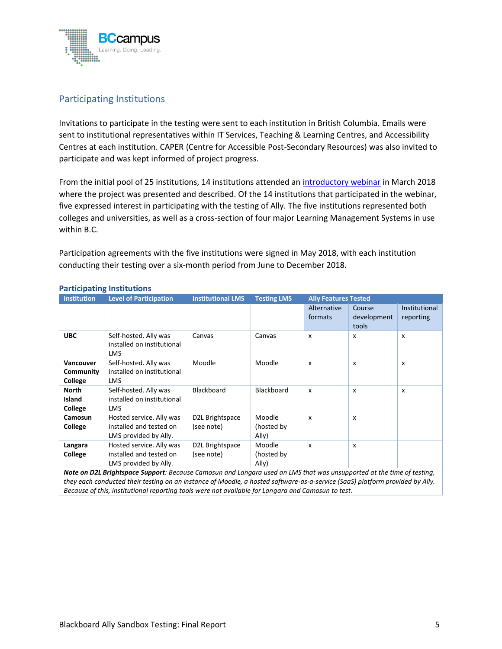

#### <span id="page-5-0"></span>Participating Institutions

Invitations to participate in the testing were sent to each institution in British Columbia. Emails were sent to institutional representatives within IT Services, Teaching & Learning Centres, and Accessibility Centres at each institution. CAPER (Centre for Accessible Post-Secondary Resources) was also invited to participate and was kept informed of project progress.

From the initial pool of 25 institutions, 14 institutions attended an [introductory webinar](https://video.bccampus.ca/media/Blackboard+Ally+EdTech+Demo/0_rzd8dbgr/18606) in March 2018 where the project was presented and described. Of the 14 institutions that participated in the webinar, five expressed interest in participating with the testing of Ally. The five institutions represented both colleges and universities, as well as a cross-section of four major Learning Management Systems in use within B.C.

Participation agreements with the five institutions were signed in May 2018, with each institution conducting their testing over a six-month period from June to December 2018.

| <b>Institution</b>                | <b>Level of Participation</b>                                                | <b>Institutional LMS</b>      | <b>Testing LMS</b>            | <b>Ally Features Tested</b> |                                |                            |
|-----------------------------------|------------------------------------------------------------------------------|-------------------------------|-------------------------------|-----------------------------|--------------------------------|----------------------------|
|                                   |                                                                              |                               |                               | Alternative<br>formats      | Course<br>development<br>tools | Institutional<br>reporting |
| <b>UBC</b>                        | Self-hosted. Ally was<br>installed on institutional<br>LMS.                  | Canvas                        | Canvas                        | X                           | x                              | x                          |
| Vancouver<br>Community<br>College | Self-hosted. Ally was<br>installed on institutional<br><b>LMS</b>            | Moodle                        | Moodle                        | X                           | $\boldsymbol{\mathsf{x}}$      | X                          |
| <b>North</b><br>Island<br>College | Self-hosted. Ally was<br>installed on institutional<br><b>LMS</b>            | <b>Blackboard</b>             | <b>Blackboard</b>             | X                           | $\boldsymbol{\mathsf{x}}$      | x                          |
| Camosun<br>College                | Hosted service. Ally was<br>installed and tested on<br>LMS provided by Ally. | D2L Brightspace<br>(see note) | Moodle<br>(hosted by<br>Ally) | X                           | $\boldsymbol{\mathsf{x}}$      |                            |
| Langara<br>College                | Hosted service. Ally was<br>installed and tested on<br>LMS provided by Ally. | D2L Brightspace<br>(see note) | Moodle<br>(hosted by<br>Ally) | X                           | X                              |                            |

#### **Participating Institutions**

*Note on D2L Brightspace Support: Because Camosun and Langara used an LMS that was unsupported at the time of testing, they each conducted their testing on an instance of Moodle, a hosted software-as-a-service (SaaS) platform provided by Ally. Because of this, institutional reporting tools were not available for Langara and Camosun to test.*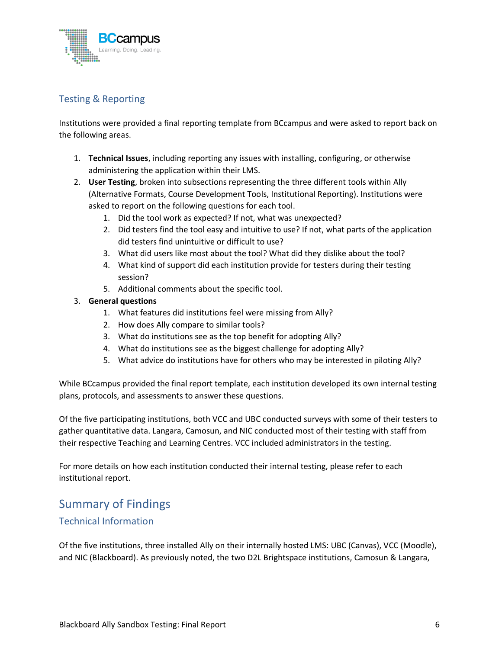

#### <span id="page-6-0"></span>Testing & Reporting

Institutions were provided a final reporting template from BCcampus and were asked to report back on the following areas.

- 1. **Technical Issues**, including reporting any issues with installing, configuring, or otherwise administering the application within their LMS.
- 2. **User Testing**, broken into subsections representing the three different tools within Ally (Alternative Formats, Course Development Tools, Institutional Reporting). Institutions were asked to report on the following questions for each tool.
	- 1. Did the tool work as expected? If not, what was unexpected?
	- 2. Did testers find the tool easy and intuitive to use? If not, what parts of the application did testers find unintuitive or difficult to use?
	- 3. What did users like most about the tool? What did they dislike about the tool?
	- 4. What kind of support did each institution provide for testers during their testing session?
	- 5. Additional comments about the specific tool.

#### 3. **General questions**

- 1. What features did institutions feel were missing from Ally?
- 2. How does Ally compare to similar tools?
- 3. What do institutions see as the top benefit for adopting Ally?
- 4. What do institutions see as the biggest challenge for adopting Ally?
- 5. What advice do institutions have for others who may be interested in piloting Ally?

While BCcampus provided the final report template, each institution developed its own internal testing plans, protocols, and assessments to answer these questions.

Of the five participating institutions, both VCC and UBC conducted surveys with some of their testers to gather quantitative data. Langara, Camosun, and NIC conducted most of their testing with staff from their respective Teaching and Learning Centres. VCC included administrators in the testing.

For more details on how each institution conducted their internal testing, please refer to each institutional report.

### <span id="page-6-1"></span>Summary of Findings

#### <span id="page-6-2"></span>Technical Information

Of the five institutions, three installed Ally on their internally hosted LMS: UBC (Canvas), VCC (Moodle), and NIC (Blackboard). As previously noted, the two D2L Brightspace institutions, Camosun & Langara,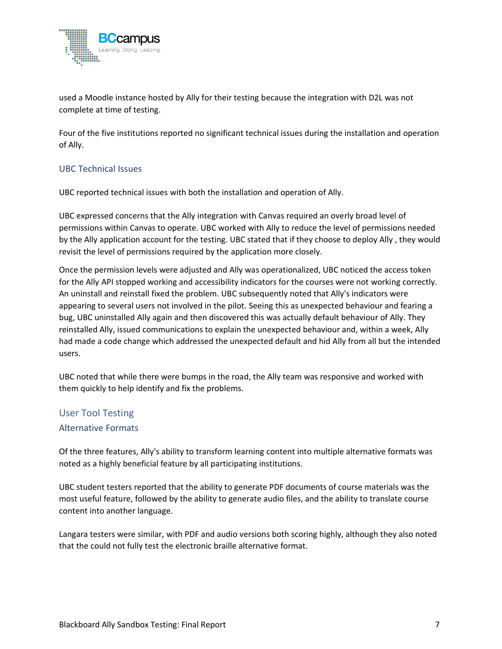

used a Moodle instance hosted by Ally for their testing because the integration with D2L was not complete at time of testing.

Four of the five institutions reported no significant technical issues during the installation and operation of Ally.

#### <span id="page-7-0"></span>UBC Technical Issues

UBC reported technical issues with both the installation and operation of Ally.

UBC expressed concerns that the Ally integration with Canvas required an overly broad level of permissions within Canvas to operate. UBC worked with Ally to reduce the level of permissions needed by the Ally application account for the testing. UBC stated that if they choose to deploy Ally , they would revisit the level of permissions required by the application more closely.

Once the permission levels were adjusted and Ally was operationalized, UBC noticed the access token for the Ally API stopped working and accessibility indicators for the courses were not working correctly. An uninstall and reinstall fixed the problem. UBC subsequently noted that Ally's indicators were appearing to several users not involved in the pilot. Seeing this as unexpected behaviour and fearing a bug, UBC uninstalled Ally again and then discovered this was actually default behaviour of Ally. They reinstalled Ally, issued communications to explain the unexpected behaviour and, within a week, Ally had made a code change which addressed the unexpected default and hid Ally from all but the intended users.

UBC noted that while there were bumps in the road, the Ally team was responsive and worked with them quickly to help identify and fix the problems.

## <span id="page-7-1"></span>User Tool Testing

#### <span id="page-7-2"></span>Alternative Formats

Of the three features, Ally's ability to transform learning content into multiple alternative formats was noted as a highly beneficial feature by all participating institutions.

UBC student testers reported that the ability to generate PDF documents of course materials was the most useful feature, followed by the ability to generate audio files, and the ability to translate course content into another language.

Langara testers were similar, with PDF and audio versions both scoring highly, although they also noted that the could not fully test the electronic braille alternative format.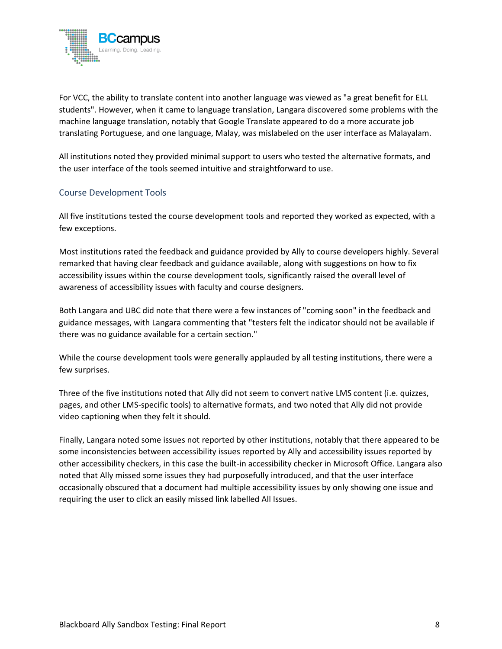

For VCC, the ability to translate content into another language was viewed as "a great benefit for ELL students". However, when it came to language translation, Langara discovered some problems with the machine language translation, notably that Google Translate appeared to do a more accurate job translating Portuguese, and one language, Malay, was mislabeled on the user interface as Malayalam.

All institutions noted they provided minimal support to users who tested the alternative formats, and the user interface of the tools seemed intuitive and straightforward to use.

#### <span id="page-8-0"></span>Course Development Tools

All five institutions tested the course development tools and reported they worked as expected, with a few exceptions.

Most institutions rated the feedback and guidance provided by Ally to course developers highly. Several remarked that having clear feedback and guidance available, along with suggestions on how to fix accessibility issues within the course development tools, significantly raised the overall level of awareness of accessibility issues with faculty and course designers.

Both Langara and UBC did note that there were a few instances of "coming soon" in the feedback and guidance messages, with Langara commenting that "testers felt the indicator should not be available if there was no guidance available for a certain section."

While the course development tools were generally applauded by all testing institutions, there were a few surprises.

Three of the five institutions noted that Ally did not seem to convert native LMS content (i.e. quizzes, pages, and other LMS-specific tools) to alternative formats, and two noted that Ally did not provide video captioning when they felt it should.

Finally, Langara noted some issues not reported by other institutions, notably that there appeared to be some inconsistencies between accessibility issues reported by Ally and accessibility issues reported by other accessibility checkers, in this case the built-in accessibility checker in Microsoft Office. Langara also noted that Ally missed some issues they had purposefully introduced, and that the user interface occasionally obscured that a document had multiple accessibility issues by only showing one issue and requiring the user to click an easily missed link labelled All Issues.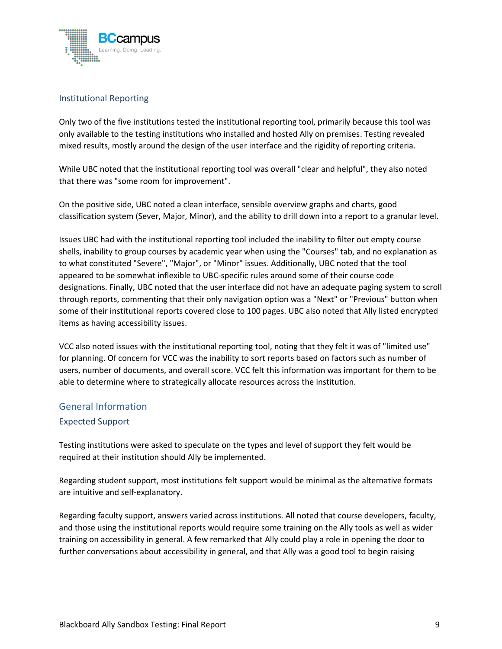

#### <span id="page-9-0"></span>Institutional Reporting

Only two of the five institutions tested the institutional reporting tool, primarily because this tool was only available to the testing institutions who installed and hosted Ally on premises. Testing revealed mixed results, mostly around the design of the user interface and the rigidity of reporting criteria.

While UBC noted that the institutional reporting tool was overall "clear and helpful", they also noted that there was "some room for improvement".

On the positive side, UBC noted a clean interface, sensible overview graphs and charts, good classification system (Sever, Major, Minor), and the ability to drill down into a report to a granular level.

Issues UBC had with the institutional reporting tool included the inability to filter out empty course shells, inability to group courses by academic year when using the "Courses" tab, and no explanation as to what constituted "Severe", "Major", or "Minor" issues. Additionally, UBC noted that the tool appeared to be somewhat inflexible to UBC-specific rules around some of their course code designations. Finally, UBC noted that the user interface did not have an adequate paging system to scroll through reports, commenting that their only navigation option was a "Next" or "Previous" button when some of their institutional reports covered close to 100 pages. UBC also noted that Ally listed encrypted items as having accessibility issues.

VCC also noted issues with the institutional reporting tool, noting that they felt it was of "limited use" for planning. Of concern for VCC was the inability to sort reports based on factors such as number of users, number of documents, and overall score. VCC felt this information was important for them to be able to determine where to strategically allocate resources across the institution.

#### <span id="page-9-1"></span>General Information

#### <span id="page-9-2"></span>Expected Support

Testing institutions were asked to speculate on the types and level of support they felt would be required at their institution should Ally be implemented.

Regarding student support, most institutions felt support would be minimal as the alternative formats are intuitive and self-explanatory.

Regarding faculty support, answers varied across institutions. All noted that course developers, faculty, and those using the institutional reports would require some training on the Ally tools as well as wider training on accessibility in general. A few remarked that Ally could play a role in opening the door to further conversations about accessibility in general, and that Ally was a good tool to begin raising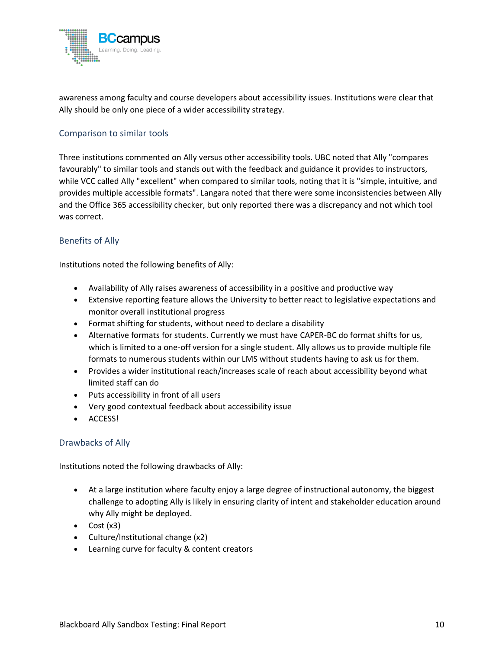

awareness among faculty and course developers about accessibility issues. Institutions were clear that Ally should be only one piece of a wider accessibility strategy.

#### <span id="page-10-0"></span>Comparison to similar tools

Three institutions commented on Ally versus other accessibility tools. UBC noted that Ally "compares favourably" to similar tools and stands out with the feedback and guidance it provides to instructors, while VCC called Ally "excellent" when compared to similar tools, noting that it is "simple, intuitive, and provides multiple accessible formats". Langara noted that there were some inconsistencies between Ally and the Office 365 accessibility checker, but only reported there was a discrepancy and not which tool was correct.

#### <span id="page-10-1"></span>Benefits of Ally

Institutions noted the following benefits of Ally:

- Availability of Ally raises awareness of accessibility in a positive and productive way
- Extensive reporting feature allows the University to better react to legislative expectations and monitor overall institutional progress
- Format shifting for students, without need to declare a disability
- Alternative formats for students. Currently we must have CAPER-BC do format shifts for us, which is limited to a one-off version for a single student. Ally allows us to provide multiple file formats to numerous students within our LMS without students having to ask us for them.
- Provides a wider institutional reach/increases scale of reach about accessibility beyond what limited staff can do
- Puts accessibility in front of all users
- Very good contextual feedback about accessibility issue
- ACCESS!

#### <span id="page-10-2"></span>Drawbacks of Ally

Institutions noted the following drawbacks of Ally:

- At a large institution where faculty enjoy a large degree of instructional autonomy, the biggest challenge to adopting Ally is likely in ensuring clarity of intent and stakeholder education around why Ally might be deployed.
- Cost  $(x3)$
- Culture/Institutional change (x2)
- Learning curve for faculty & content creators